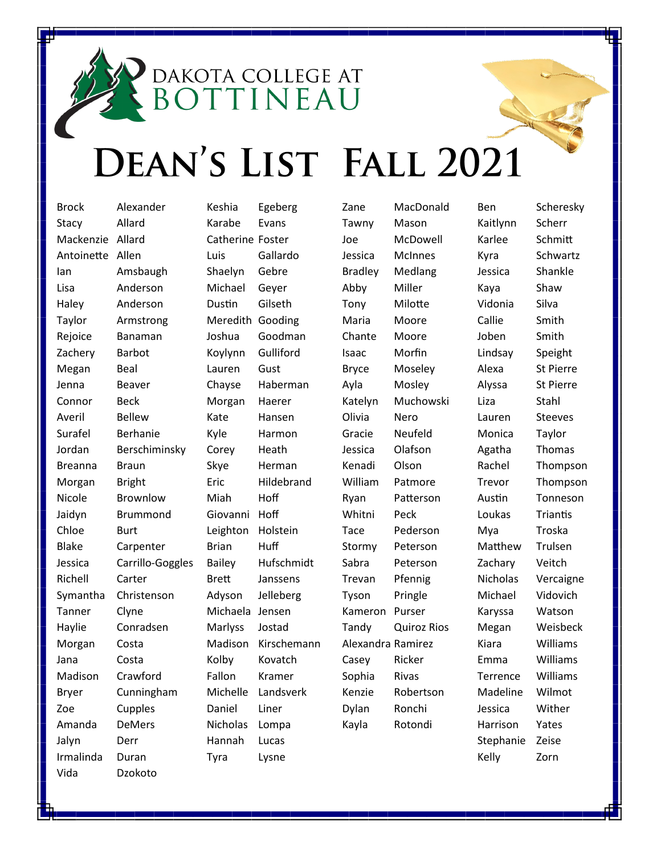## DEAN'S LIST FALL 2021

DAKOTA COLLEGE AT

**OTTINEAU** 

Brock Alexander Stacy Allard Mackenzie Allard Antoinette Allen Ian Amsbaugh Lisa Anderson Haley Anderson Taylor Armstrong Rejoice Banaman Zachery Barbot Megan Beal Jenna Beaver Connor Beck Averil Bellew Surafel Berhanie Jordan Berschiminsky Breanna Braun Morgan Bright Nicole Brownlow Jaidyn Brummond Chloe Burt Blake Carpenter Jessica Carrillo-Goggles Richell Carter Symantha Christenson Tanner Clyne Haylie Conradsen Morgan Costa Jana Costa Madison Crawford Bryer Cunningham Zoe Cupples Amanda DeMers Jalyn Derr Irmalinda Duran Vida Dzokoto

Keshia Egeberg Karabe Evans Catherine Foster Luis Gallardo Shaelyn Gebre Michael Geyer Dustin Gilseth Meredith Gooding Joshua Goodman Koylynn Gulliford Lauren Gust Chayse Haberman Morgan Haerer Kate Hansen Kyle Harmon Corey Heath Skye Herman Eric Hildebrand Miah Hoff Giovanni Hoff Leighton Holstein Brian Huff Bailey Hufschmidt Brett Janssens Adyson Jelleberg Michaela Jensen Marlyss Jostad Madison Kirschemann Kolby Kovatch Fallon Kramer Michelle Landsverk Daniel Liner Nicholas Lompa Hannah Lucas Tyra Lysne

Zane MacDonald Tawny Mason Joe McDowell Jessica McInnes Bradley Medlang Abby Miller Tony Milotte Maria Moore Chante Moore Isaac Morfin Bryce Moseley Ayla Mosley Katelyn Muchowski Olivia Nero Gracie Neufeld Jessica Olafson Kenadi Olson William Patmore Ryan Patterson Whitni Peck Tace Pederson Stormy Peterson Sabra Peterson Trevan Pfennig Tyson Pringle Kameron Purser Tandy Quiroz Rios Alexandra Ramirez Casey Ricker Sophia Rivas Kenzie Robertson Dylan Ronchi Kayla Rotondi

Kaitlynn Scherr Karlee Schmitt Kyra Schwartz Jessica Shankle Kaya Shaw Vidonia Silva Callie Smith Joben Smith Lindsay Speight Alexa St Pierre Alyssa St Pierre Liza Stahl Lauren Steeves Monica Taylor Agatha Thomas Rachel Thompson Trevor Thompson Austin Tonneson Loukas Triantis Mya Troska Matthew Trulsen Zachary Veitch Nicholas Vercaigne Michael Vidovich Karyssa Watson Megan Weisbeck Kiara Williams Emma Williams Terrence Williams Madeline Wilmot Jessica Wither Harrison Yates Stephanie Zeise Kelly Zorn

Ben Scheresky